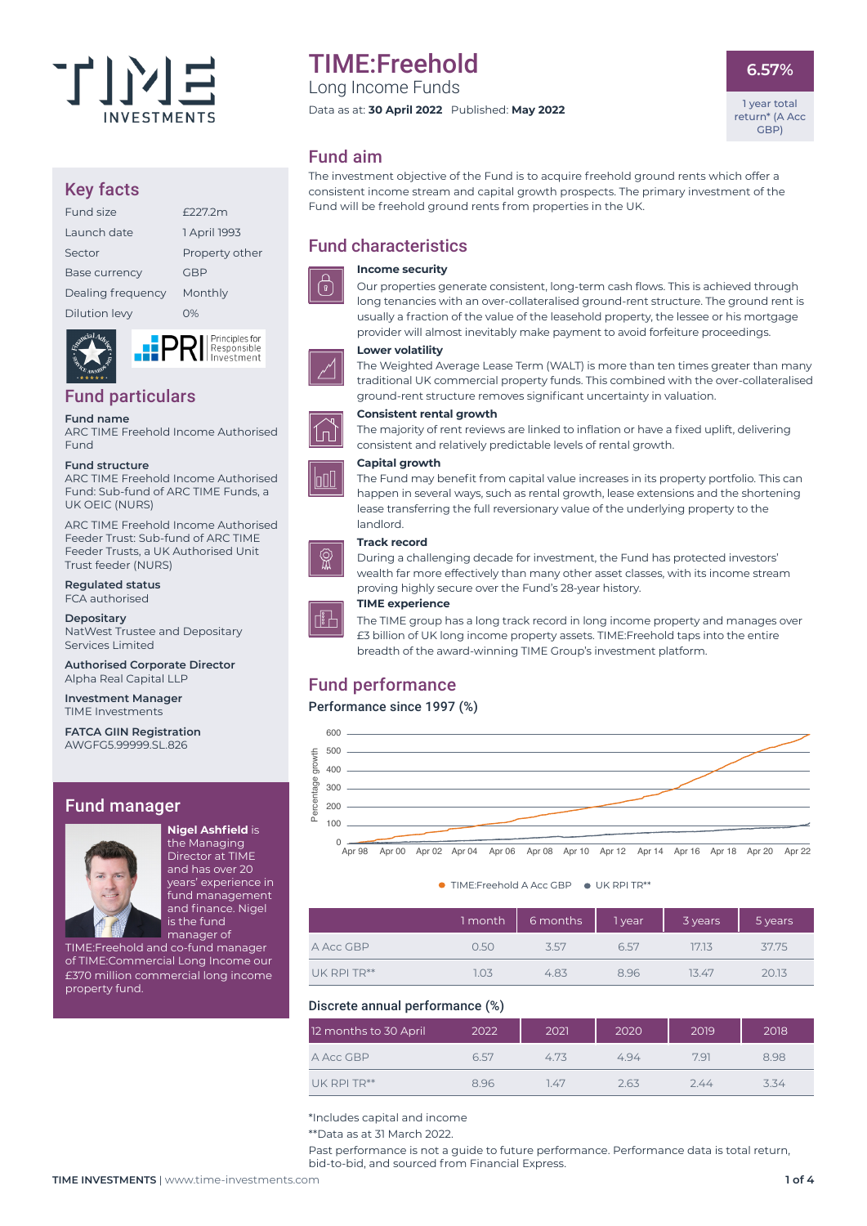

# Key facts

| Fund size            | F227.2m        |
|----------------------|----------------|
| Launch date          | 1 April 1993   |
| Sector               | Property other |
| <b>Base currency</b> | GBP            |
| Dealing frequency    | Monthly        |
| Dilution levy        | റ%             |
|                      |                |

# Fund particulars

#### **Fund name**

ARC TIME Freehold Income Authorised Fund

#### **Fund structure**

ARC TIME Freehold Income Authorised Fund: Sub-fund of ARC TIME Funds, a UK OEIC (NURS)

ARC TIME Freehold Income Authorised Feeder Trust: Sub-fund of ARC TIME Feeder Trusts, a UK Authorised Unit Trust feeder (NURS)

**Regulated status** FCA authorised

**Depositary** NatWest Trustee and Depositary Services Limited

**Authorised Corporate Director** Alpha Real Capital LLP

**Investment Manager** TIME Investments

**FATCA GIIN Registration** AWGFG5.99999.SL.826

# Fund manager



**Nigel Ashfield** is the Managing Director at TIME and has over 20 years' experience in fund management and finance. Nigel is the fund manager of

TIME:Freehold and co-fund manager of TIME:Commercial Long Income our £370 million commercial long income property fund.

# TIME:Freehold

Long Income Funds

Data as at: **30 April 2022** Published: **May 2022**

**6.57%**

1 year total return\* (A Acc GBP)

# Fund aim

The investment objective of the Fund is to acquire freehold ground rents which offer a consistent income stream and capital growth prospects. The primary investment of the Fund will be freehold ground rents from properties in the UK.

# Fund characteristics

#### **Income security**

**Lower volatility** 



Principles for **Responsible** Investment



# **Consistent rental growth**

The majority of rent reviews are linked to inflation or have a fixed uplift, delivering consistent and relatively predictable levels of rental growth.

The Fund may benefit from capital value increases in its property portfolio. This can happen in several ways, such as rental growth, lease extensions and the shortening lease transferring the full reversionary value of the underlying property to the

ground-rent structure removes significant uncertainty in valuation.

Our properties generate consistent, long-term cash flows. This is achieved through long tenancies with an over-collateralised ground-rent structure. The ground rent is usually a fraction of the value of the leasehold property, the lessee or his mortgage provider will almost inevitably make payment to avoid forfeiture proceedings.

The Weighted Average Lease Term (WALT) is more than ten times greater than many traditional UK commercial property funds. This combined with the over-collateralised

#### **Capital growth**



# **Track record**

landlord.



During a challenging decade for investment, the Fund has protected investors' wealth far more effectively than many other asset classes, with its income stream proving highly secure over the Fund's 28-year history.



# **TIME experience**

The TIME group has a long track record in long income property and manages over £3 billion of UK long income property assets. TIME:Freehold taps into the entire breadth of the award-winning TIME Group's investment platform.

# Fund performance

# Performance since 1997 (%)



#### ● TIME:Freehold A Acc GBP ● UK RPI TR\*\*

|             |      | $\mid$ month $\mid$ 6 months | 1 year | 3 years | 5 years |
|-------------|------|------------------------------|--------|---------|---------|
| A Acc GBP   | 0.50 | 3.57                         | 6.57   | 17.13   | 37.75   |
| UK RPI TR** | 1.03 | 4.83                         | 8.96   | 13.47   | 20.13   |

# Discrete annual performance (%)

| 12 months to 30 April | 2022 | 2021 | 2020 | 2019 | 2018 |
|-----------------------|------|------|------|------|------|
| A Acc GBP             | 6.57 | 4.73 | 494  | 7.91 | 8.98 |
| UK RPI TR**           | 8.96 | 1.47 | 2.63 | 2.44 | 3.34 |

\*Includes capital and income

\*\*Data as at 31 March 2022.

Past performance is not a guide to future performance. Performance data is total return, bid-to-bid, and sourced from Financial Express.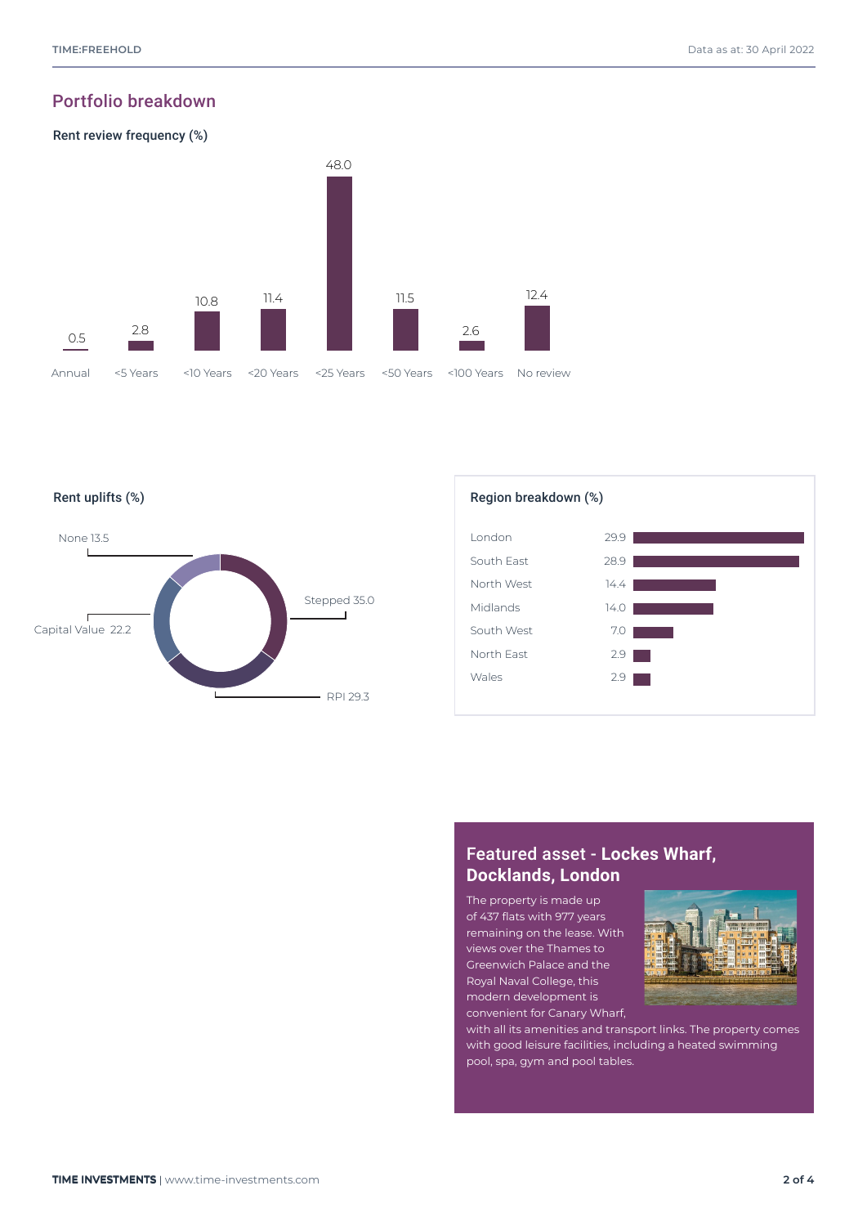# Portfolio breakdown







# Featured asset - **Lockes Wharf, Docklands, London**

The property is made up of 437 flats with 977 years remaining on the lease. With views over the Thames to Greenwich Palace and the Royal Naval College, this modern development is convenient for Canary Wharf,



with all its amenities and transport links. The property comes with good leisure facilities, including a heated swimming pool, spa, gym and pool tables.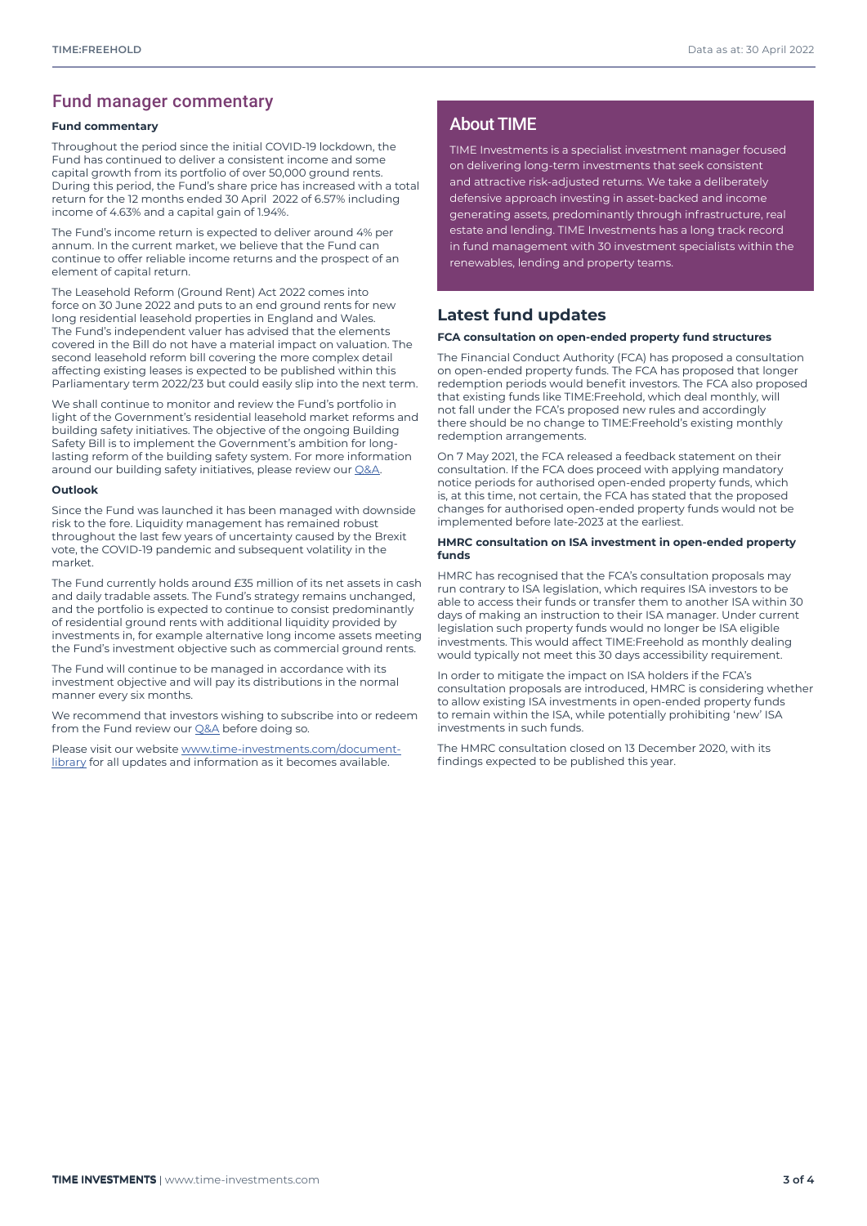# Fund manager commentary

#### **Fund commentary**

Throughout the period since the initial COVID-19 lockdown, the Fund has continued to deliver a consistent income and some capital growth from its portfolio of over 50,000 ground rents. During this period, the Fund's share price has increased with a total return for the 12 months ended 30 April 2022 of 6.57% including income of 4.63% and a capital gain of 1.94%.

The Fund's income return is expected to deliver around 4% per annum. In the current market, we believe that the Fund can continue to offer reliable income returns and the prospect of an element of capital return.

The Leasehold Reform (Ground Rent) Act 2022 comes into force on 30 June 2022 and puts to an end ground rents for new long residential leasehold properties in England and Wales. The Fund's independent valuer has advised that the elements covered in the Bill do not have a material impact on valuation. The second leasehold reform bill covering the more complex detail affecting existing leases is expected to be published within this Parliamentary term 2022/23 but could easily slip into the next term.

We shall continue to monitor and review the Fund's portfolio in light of the Government's residential leasehold market reforms and building safety initiatives. The objective of the ongoing Building Safety Bill is to implement the Government's ambition for longlasting reform of the building safety system. For more information around our building safety initiatives, please review our [Q&A](https://time-investments.com/vault/files/TIME-Freehold-Investor-QA-May-2022.pdf).

#### **Outlook**

Since the Fund was launched it has been managed with downside risk to the fore. Liquidity management has remained robust throughout the last few years of uncertainty caused by the Brexit vote, the COVID-19 pandemic and subsequent volatility in the market.

The Fund currently holds around £35 million of its net assets in cash and daily tradable assets. The Fund's strategy remains unchanged, and the portfolio is expected to continue to consist predominantly of residential ground rents with additional liquidity provided by investments in, for example alternative long income assets meeting the Fund's investment objective such as commercial ground rents.

The Fund will continue to be managed in accordance with its investment objective and will pay its distributions in the normal manner every six months.

We recommend that investors wishing to subscribe into or redeem from the Fund review our **Q&A** before doing so.

Please visit our website [www.time-investments.com/document](http://www.time-investments.com/document-library)[library](http://www.time-investments.com/document-library) for all updates and information as it becomes available.

# About TIME

TIME Investments is a specialist investment manager focused on delivering long-term investments that seek consistent and attractive risk-adjusted returns. We take a deliberately defensive approach investing in asset-backed and income generating assets, predominantly through infrastructure, real estate and lending. TIME Investments has a long track record in fund management with 30 investment specialists within the renewables, lending and property teams.

# **Latest fund updates**

#### **FCA consultation on open-ended property fund structures**

The Financial Conduct Authority (FCA) has proposed a consultation on open-ended property funds. The FCA has proposed that longer redemption periods would benefit investors. The FCA also proposed that existing funds like TIME:Freehold, which deal monthly, will not fall under the FCA's proposed new rules and accordingly there should be no change to TIME:Freehold's existing monthly redemption arrangements.

On 7 May 2021, the FCA released a feedback statement on their consultation. If the FCA does proceed with applying mandatory notice periods for authorised open-ended property funds, which is, at this time, not certain, the FCA has stated that the proposed changes for authorised open-ended property funds would not be implemented before late-2023 at the earliest.

#### **HMRC consultation on ISA investment in open-ended property funds**

HMRC has recognised that the FCA's consultation proposals may run contrary to ISA legislation, which requires ISA investors to be able to access their funds or transfer them to another ISA within 30 days of making an instruction to their ISA manager. Under current legislation such property funds would no longer be ISA eligible investments. This would affect TIME:Freehold as monthly dealing would typically not meet this 30 days accessibility requirement.

In order to mitigate the impact on ISA holders if the FCA's consultation proposals are introduced, HMRC is considering whether to allow existing ISA investments in open-ended property funds to remain within the ISA, while potentially prohibiting 'new' ISA investments in such funds.

The HMRC consultation closed on 13 December 2020, with its findings expected to be published this year.